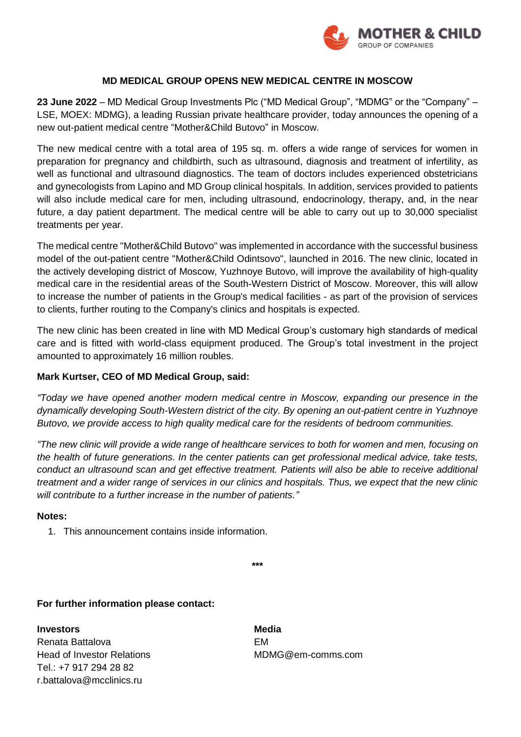

## **MD MEDICAL GROUP OPENS NEW MEDICAL CENTRE IN MOSCOW**

**23 June 2022** – MD Medical Group Investments Plc ("MD Medical Group", "MDMG" or the "Company" – LSE, MOEX: MDMG), a leading Russian private healthcare provider, today announces the opening of a new out-patient medical centre "Mother&Child Butovo" in Moscow.

The new medical centre with a total area of 195 sq. m. offers a wide range of services for women in preparation for pregnancy and childbirth, such as ultrasound, diagnosis and treatment of infertility, as well as functional and ultrasound diagnostics. The team of doctors includes experienced obstetricians and gynecologists from Lapino and MD Group clinical hospitals. In addition, services provided to patients will also include medical care for men, including ultrasound, endocrinology, therapy, and, in the near future, a day patient department. The medical centre will be able to carry out up to 30,000 specialist treatments per year.

The medical centre "Mother&Child Butovo" was implemented in accordance with the successful business model of the out-patient centre "Mother&Child Odintsovo", launched in 2016. The new clinic, located in the actively developing district of Moscow, Yuzhnoye Butovo, will improve the availability of high-quality medical care in the residential areas of the South-Western District of Moscow. Moreover, this will allow to increase the number of patients in the Group's medical facilities - as part of the provision of services to clients, further routing to the Company's clinics and hospitals is expected.

The new clinic has been created in line with MD Medical Group's customary high standards of medical care and is fitted with world-class equipment produced. The Group's total investment in the project amounted to approximately 16 million roubles.

## **Mark Kurtser, CEO of MD Medical Group, said:**

*"Today we have opened another modern medical centre in Moscow, expanding our presence in the dynamically developing South-Western district of the city. By opening an out-patient centre in Yuzhnoye Butovo, we provide access to high quality medical care for the residents of bedroom communities.*

*"The new clinic will provide a wide range of healthcare services to both for women and men, focusing on the health of future generations. In the center patients can get professional medical advice, take tests, conduct an ultrasound scan and get effective treatment. Patients will also be able to receive additional treatment and a wider range of services in our clinics and hospitals. Thus, we expect that the new clinic will contribute to a further increase in the number of patients."*

## **Notes:**

1. This announcement contains inside information.

**\*\*\***

**For further information please contact:**

**Investors** Media Renata Battalova **EM** Head of Investor Relations Theorem MDMG@em-comms.com Tel.: +7 917 294 28 82 r.battalova@mcclinics.ru